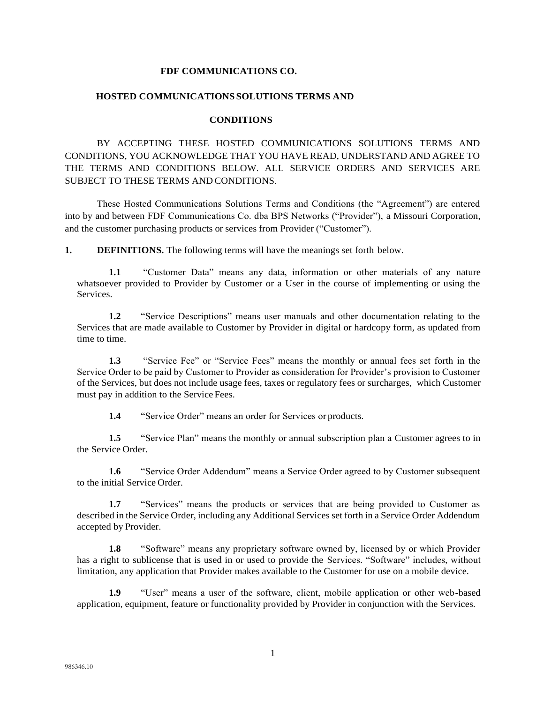### **FDF COMMUNICATIONS CO.**

#### **HOSTED COMMUNICATIONS SOLUTIONS TERMS AND**

#### **CONDITIONS**

BY ACCEPTING THESE HOSTED COMMUNICATIONS SOLUTIONS TERMS AND CONDITIONS, YOU ACKNOWLEDGE THAT YOU HAVE READ, UNDERSTAND AND AGREE TO THE TERMS AND CONDITIONS BELOW. ALL SERVICE ORDERS AND SERVICES ARE SUBJECT TO THESE TERMS AND CONDITIONS.

These Hosted Communications Solutions Terms and Conditions (the "Agreement") are entered into by and between FDF Communications Co. dba BPS Networks ("Provider"), a Missouri Corporation, and the customer purchasing products or services from Provider ("Customer").

**1. DEFINITIONS.** The following terms will have the meanings set forth below.

**1.1** "Customer Data" means any data, information or other materials of any nature whatsoever provided to Provider by Customer or a User in the course of implementing or using the Services.

**1.2** "Service Descriptions" means user manuals and other documentation relating to the Services that are made available to Customer by Provider in digital or hardcopy form, as updated from time to time.

**1.3** "Service Fee" or "Service Fees" means the monthly or annual fees set forth in the Service Order to be paid by Customer to Provider as consideration for Provider's provision to Customer of the Services, but does not include usage fees, taxes or regulatory fees or surcharges, which Customer must pay in addition to the Service Fees.

**1.4** "Service Order" means an order for Services or products.

**1.5** "Service Plan" means the monthly or annual subscription plan a Customer agrees to in the Service Order.

**1.6** "Service Order Addendum" means a Service Order agreed to by Customer subsequent to the initial Service Order.

**1.7** "Services" means the products or services that are being provided to Customer as described in the Service Order, including any Additional Services set forth in a Service Order Addendum accepted by Provider.

**1.8** "Software" means any proprietary software owned by, licensed by or which Provider has a right to sublicense that is used in or used to provide the Services. "Software" includes, without limitation, any application that Provider makes available to the Customer for use on a mobile device.

**1.9** "User" means a user of the software, client, mobile application or other web-based application, equipment, feature or functionality provided by Provider in conjunction with the Services.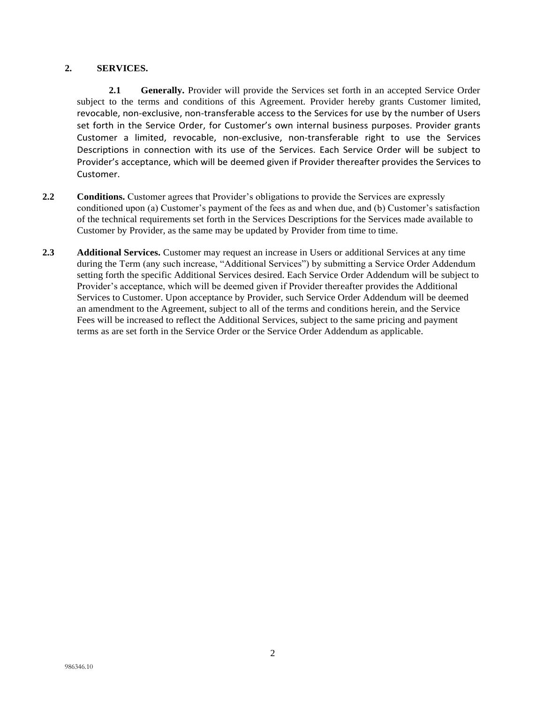# **2. SERVICES.**

**2.1 Generally.** Provider will provide the Services set forth in an accepted Service Order subject to the terms and conditions of this Agreement. Provider hereby grants Customer limited, revocable, non-exclusive, non-transferable access to the Services for use by the number of Users set forth in the Service Order, for Customer's own internal business purposes. Provider grants Customer a limited, revocable, non-exclusive, non-transferable right to use the Services Descriptions in connection with its use of the Services. Each Service Order will be subject to Provider's acceptance, which will be deemed given if Provider thereafter provides the Services to Customer.

- **2.2 Conditions.** Customer agrees that Provider's obligations to provide the Services are expressly conditioned upon (a) Customer's payment of the fees as and when due, and (b) Customer's satisfaction of the technical requirements set forth in the Services Descriptions for the Services made available to Customer by Provider, as the same may be updated by Provider from time to time.
- **2.3 Additional Services.** Customer may request an increase in Users or additional Services at any time during the Term (any such increase, "Additional Services") by submitting a Service Order Addendum setting forth the specific Additional Services desired. Each Service Order Addendum will be subject to Provider's acceptance, which will be deemed given if Provider thereafter provides the Additional Services to Customer. Upon acceptance by Provider, such Service Order Addendum will be deemed an amendment to the Agreement, subject to all of the terms and conditions herein, and the Service Fees will be increased to reflect the Additional Services, subject to the same pricing and payment terms as are set forth in the Service Order or the Service Order Addendum as applicable.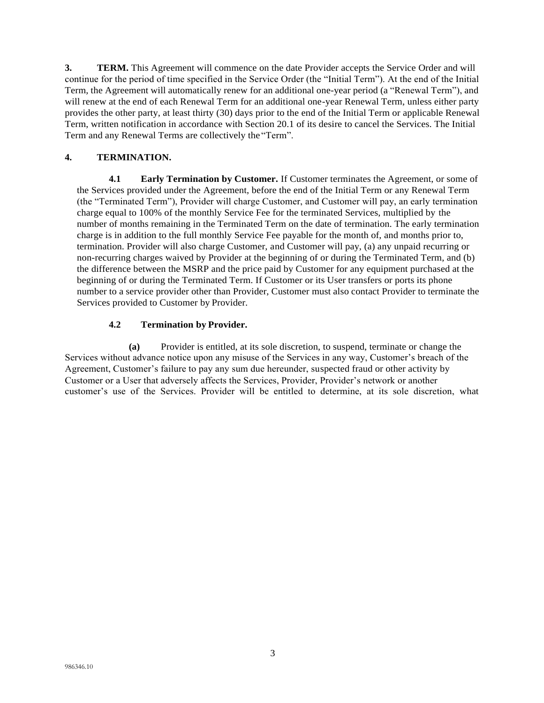**3. TERM.** This Agreement will commence on the date Provider accepts the Service Order and will continue for the period of time specified in the Service Order (the "Initial Term"). At the end of the Initial Term, the Agreement will automatically renew for an additional one-year period (a "Renewal Term"), and will renew at the end of each Renewal Term for an additional one-year Renewal Term, unless either party provides the other party, at least thirty (30) days prior to the end of the Initial Term or applicable Renewal Term, written notification in accordance with Section 20.1 of its desire to cancel the Services. The Initial Term and any Renewal Terms are collectively the "Term".

# **4. TERMINATION.**

**4.1 Early Termination by Customer.** If Customer terminates the Agreement, or some of the Services provided under the Agreement, before the end of the Initial Term or any Renewal Term (the "Terminated Term"), Provider will charge Customer, and Customer will pay, an early termination charge equal to 100% of the monthly Service Fee for the terminated Services, multiplied by the number of months remaining in the Terminated Term on the date of termination. The early termination charge is in addition to the full monthly Service Fee payable for the month of, and months prior to, termination. Provider will also charge Customer, and Customer will pay, (a) any unpaid recurring or non-recurring charges waived by Provider at the beginning of or during the Terminated Term, and (b) the difference between the MSRP and the price paid by Customer for any equipment purchased at the beginning of or during the Terminated Term. If Customer or its User transfers or ports its phone number to a service provider other than Provider, Customer must also contact Provider to terminate the Services provided to Customer by Provider.

# **4.2 Termination by Provider.**

**(a)** Provider is entitled, at its sole discretion, to suspend, terminate or change the Services without advance notice upon any misuse of the Services in any way, Customer's breach of the Agreement, Customer's failure to pay any sum due hereunder, suspected fraud or other activity by Customer or a User that adversely affects the Services, Provider, Provider's network or another customer's use of the Services. Provider will be entitled to determine, at its sole discretion, what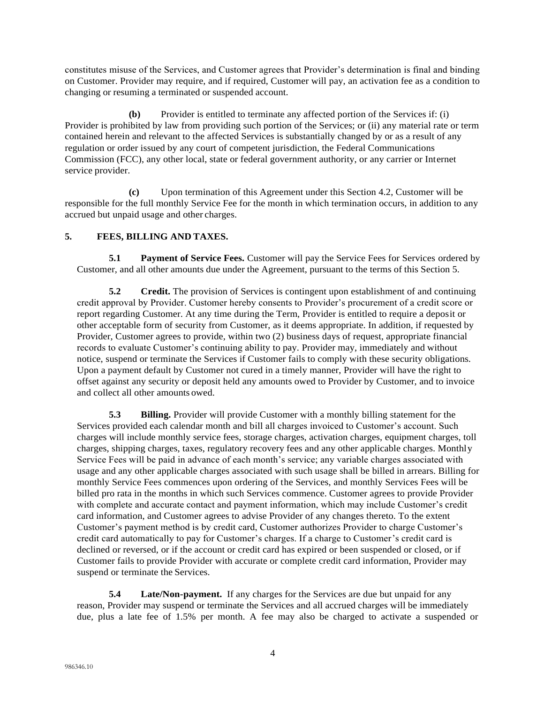constitutes misuse of the Services, and Customer agrees that Provider's determination is final and binding on Customer. Provider may require, and if required, Customer will pay, an activation fee as a condition to changing or resuming a terminated or suspended account.

**(b)** Provider is entitled to terminate any affected portion of the Services if: (i) Provider is prohibited by law from providing such portion of the Services; or (ii) any material rate or term contained herein and relevant to the affected Services is substantially changed by or as a result of any regulation or order issued by any court of competent jurisdiction, the Federal Communications Commission (FCC), any other local, state or federal government authority, or any carrier or Internet service provider.

**(c)** Upon termination of this Agreement under this Section 4.2, Customer will be responsible for the full monthly Service Fee for the month in which termination occurs, in addition to any accrued but unpaid usage and other charges.

# **5. FEES, BILLING AND TAXES.**

**5.1 Payment of Service Fees.** Customer will pay the Service Fees for Services ordered by Customer, and all other amounts due under the Agreement, pursuant to the terms of this Section 5.

**5.2 Credit.** The provision of Services is contingent upon establishment of and continuing credit approval by Provider. Customer hereby consents to Provider's procurement of a credit score or report regarding Customer. At any time during the Term, Provider is entitled to require a deposit or other acceptable form of security from Customer, as it deems appropriate. In addition, if requested by Provider, Customer agrees to provide, within two (2) business days of request, appropriate financial records to evaluate Customer's continuing ability to pay. Provider may, immediately and without notice, suspend or terminate the Services if Customer fails to comply with these security obligations. Upon a payment default by Customer not cured in a timely manner, Provider will have the right to offset against any security or deposit held any amounts owed to Provider by Customer, and to invoice and collect all other amounts owed.

**5.3 Billing.** Provider will provide Customer with a monthly billing statement for the Services provided each calendar month and bill all charges invoiced to Customer's account. Such charges will include monthly service fees, storage charges, activation charges, equipment charges, toll charges, shipping charges, taxes, regulatory recovery fees and any other applicable charges. Monthly Service Fees will be paid in advance of each month's service; any variable charges associated with usage and any other applicable charges associated with such usage shall be billed in arrears. Billing for monthly Service Fees commences upon ordering of the Services, and monthly Services Fees will be billed pro rata in the months in which such Services commence. Customer agrees to provide Provider with complete and accurate contact and payment information, which may include Customer's credit card information, and Customer agrees to advise Provider of any changes thereto. To the extent Customer's payment method is by credit card, Customer authorizes Provider to charge Customer's credit card automatically to pay for Customer's charges. If a charge to Customer's credit card is declined or reversed, or if the account or credit card has expired or been suspended or closed, or if Customer fails to provide Provider with accurate or complete credit card information, Provider may suspend or terminate the Services.

**5.4 Late/Non-payment.** If any charges for the Services are due but unpaid for any reason, Provider may suspend or terminate the Services and all accrued charges will be immediately due, plus a late fee of 1.5% per month. A fee may also be charged to activate a suspended or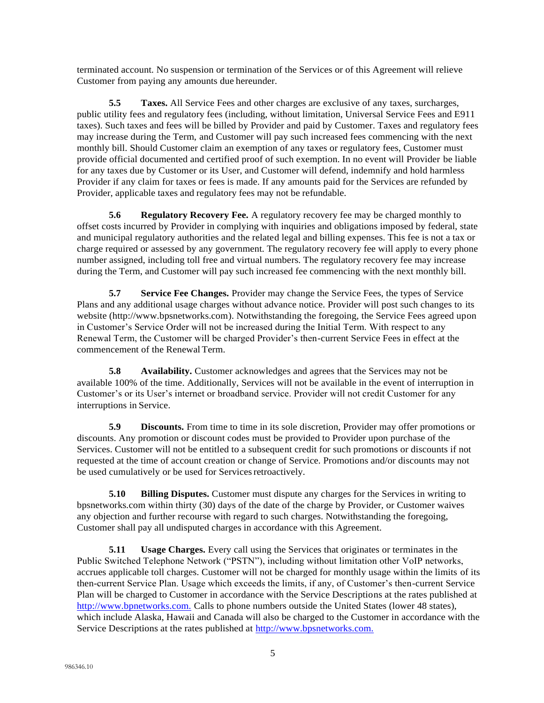terminated account. No suspension or termination of the Services or of this Agreement will relieve Customer from paying any amounts due hereunder.

**5.5 Taxes.** All Service Fees and other charges are exclusive of any taxes, surcharges, public utility fees and regulatory fees (including, without limitation, Universal Service Fees and E911 taxes). Such taxes and fees will be billed by Provider and paid by Customer. Taxes and regulatory fees may increase during the Term, and Customer will pay such increased fees commencing with the next monthly bill. Should Customer claim an exemption of any taxes or regulatory fees, Customer must provide official documented and certified proof of such exemption. In no event will Provider be liable for any taxes due by Customer or its User, and Customer will defend, indemnify and hold harmless Provider if any claim for taxes or fees is made. If any amounts paid for the Services are refunded by Provider, applicable taxes and regulatory fees may not be refundable.

**5.6 Regulatory Recovery Fee.** A regulatory recovery fee may be charged monthly to offset costs incurred by Provider in complying with inquiries and obligations imposed by federal, state and municipal regulatory authorities and the related legal and billing expenses. This fee is not a tax or charge required or assessed by any government. The regulatory recovery fee will apply to every phone number assigned, including toll free and virtual numbers. The regulatory recovery fee may increase during the Term, and Customer will pay such increased fee commencing with the next monthly bill.

**5.7 Service Fee Changes.** Provider may change the Service Fees, the types of Service Plans and any additional usage charges without advance notice. Provider will post such changes to its website (http://www.bpsnetworks.com). Notwithstanding the foregoing, the Service Fees agreed upon in Customer's Service Order will not be increased during the Initial Term. With respect to any Renewal Term, the Customer will be charged Provider's then-current Service Fees in effect at the commencement of the RenewalTerm.

**5.8 Availability.** Customer acknowledges and agrees that the Services may not be available 100% of the time. Additionally, Services will not be available in the event of interruption in Customer's or its User's internet or broadband service. Provider will not credit Customer for any interruptions in Service.

**5.9 Discounts.** From time to time in its sole discretion, Provider may offer promotions or discounts. Any promotion or discount codes must be provided to Provider upon purchase of the Services. Customer will not be entitled to a subsequent credit for such promotions or discounts if not requested at the time of account creation or change of Service. Promotions and/or discounts may not be used cumulatively or be used for Services retroactively.

**5.10 Billing Disputes.** Customer must dispute any charges for the Services in writing to bpsnetworks.com within thirty (30) days of the date of the charge by Provider, or Customer waives any objection and further recourse with regard to such charges. Notwithstanding the foregoing, Customer shall pay all undisputed charges in accordance with this Agreement.

**5.11 Usage Charges.** Every call using the Services that originates or terminates in the Public Switched Telephone Network ("PSTN"), including without limitation other VoIP networks, accrues applicable toll charges. Customer will not be charged for monthly usage within the limits of its then-current Service Plan. Usage which exceeds the limits, if any, of Customer's then-current Service Plan will be charged to Customer in accordance with the Service Descriptions at the rates published at [http://www.bpnetworks.com.](http://www.bpnetworks.com./) Calls to phone numbers outside the United States (lower 48 states), which include Alaska, Hawaii and Canada will also be charged to the Customer in accordance with the Service Descriptions at the rates published at [http://www.bpsnetworks.com.](http://www.bpsnetworks.com./)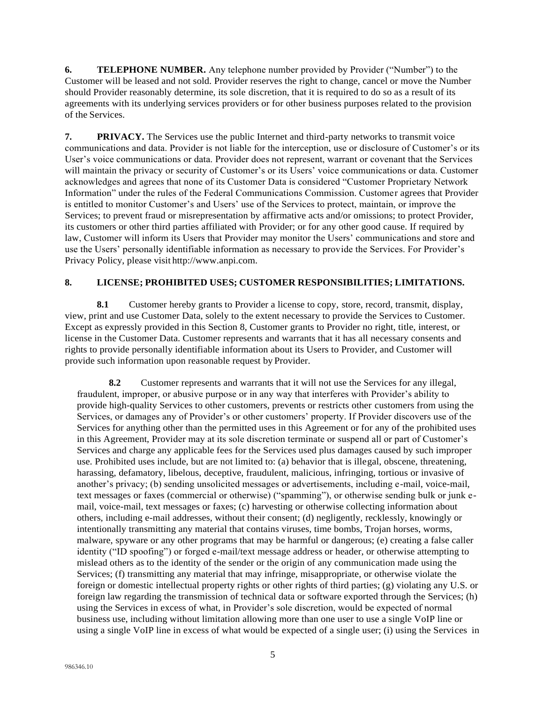**6. TELEPHONE NUMBER.** Any telephone number provided by Provider ("Number") to the Customer will be leased and not sold. Provider reserves the right to change, cancel or move the Number should Provider reasonably determine, its sole discretion, that it is required to do so as a result of its agreements with its underlying services providers or for other business purposes related to the provision of the Services.

**7. PRIVACY.** The Services use the public Internet and third-party networks to transmit voice communications and data. Provider is not liable for the interception, use or disclosure of Customer's or its User's voice communications or data. Provider does not represent, warrant or covenant that the Services will maintain the privacy or security of Customer's or its Users' voice communications or data. Customer acknowledges and agrees that none of its Customer Data is considered "Customer Proprietary Network Information" under the rules of the Federal Communications Commission. Customer agrees that Provider is entitled to monitor Customer's and Users' use of the Services to protect, maintain, or improve the Services; to prevent fraud or misrepresentation by affirmative acts and/or omissions; to protect Provider, its customers or other third parties affiliated with Provider; or for any other good cause. If required by law, Customer will inform its Users that Provider may monitor the Users' communications and store and use the Users' personally identifiable information as necessary to provide the Services. For Provider's Privacy Policy, please visit [http://www.anpi.com.](http://www.anpi.com/)

## **8. LICENSE; PROHIBITED USES; CUSTOMER RESPONSIBILITIES; LIMITATIONS.**

**8.1** Customer hereby grants to Provider a license to copy, store, record, transmit, display, view, print and use Customer Data, solely to the extent necessary to provide the Services to Customer. Except as expressly provided in this Section 8, Customer grants to Provider no right, title, interest, or license in the Customer Data. Customer represents and warrants that it has all necessary consents and rights to provide personally identifiable information about its Users to Provider, and Customer will provide such information upon reasonable request by Provider.

**8.2** Customer represents and warrants that it will not use the Services for any illegal, fraudulent, improper, or abusive purpose or in any way that interferes with Provider's ability to provide high-quality Services to other customers, prevents or restricts other customers from using the Services, or damages any of Provider's or other customers' property. If Provider discovers use of the Services for anything other than the permitted uses in this Agreement or for any of the prohibited uses in this Agreement, Provider may at its sole discretion terminate or suspend all or part of Customer's Services and charge any applicable fees for the Services used plus damages caused by such improper use. Prohibited uses include, but are not limited to: (a) behavior that is illegal, obscene, threatening, harassing, defamatory, libelous, deceptive, fraudulent, malicious, infringing, tortious or invasive of another's privacy; (b) sending unsolicited messages or advertisements, including e-mail, voice-mail, text messages or faxes (commercial or otherwise) ("spamming"), or otherwise sending bulk or junk email, voice-mail, text messages or faxes; (c) harvesting or otherwise collecting information about others, including e-mail addresses, without their consent; (d) negligently, recklessly, knowingly or intentionally transmitting any material that contains viruses, time bombs, Trojan horses, worms, malware, spyware or any other programs that may be harmful or dangerous; (e) creating a false caller identity ("ID spoofing") or forged e-mail/text message address or header, or otherwise attempting to mislead others as to the identity of the sender or the origin of any communication made using the Services; (f) transmitting any material that may infringe, misappropriate, or otherwise violate the foreign or domestic intellectual property rights or other rights of third parties; (g) violating any U.S. or foreign law regarding the transmission of technical data or software exported through the Services; (h) using the Services in excess of what, in Provider's sole discretion, would be expected of normal business use, including without limitation allowing more than one user to use a single VoIP line or using a single VoIP line in excess of what would be expected of a single user; (i) using the Services in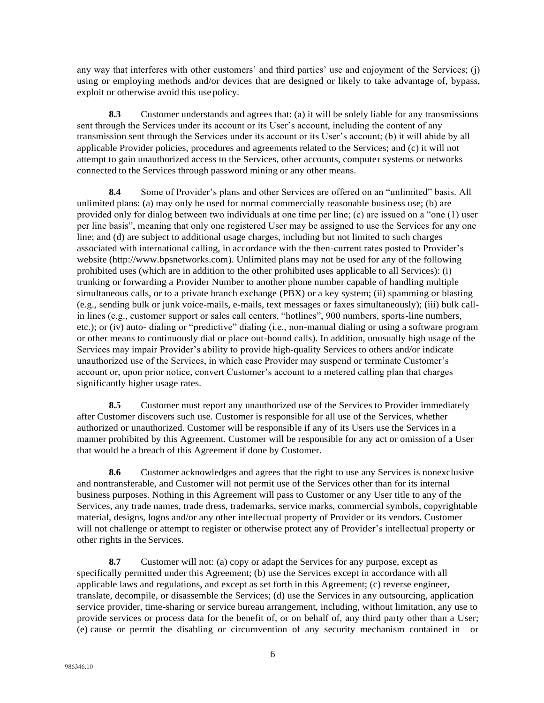any way that interferes with other customers' and third parties' use and enjoyment of the Services; (j) using or employing methods and/or devices that are designed or likely to take advantage of, bypass, exploit or otherwise avoid this use policy.

**8.3** Customer understands and agrees that: (a) it will be solely liable for any transmissions sent through the Services under its account or its User's account, including the content of any transmission sent through the Services under its account or its User's account; (b) it will abide by all applicable Provider policies, procedures and agreements related to the Services; and (c) it will not attempt to gain unauthorized access to the Services, other accounts, computer systems or networks connected to the Services through password mining or any other means.

**8.4** Some of Provider's plans and other Services are offered on an "unlimited" basis. All unlimited plans: (a) may only be used for normal commercially reasonable business use; (b) are provided only for dialog between two individuals at one time per line; (c) are issued on a "one (1) user per line basis", meaning that only one registered User may be assigned to use the Services for any one line; and (d) are subject to additional usage charges, including but not limited to such charges associated with international calling, in accordance with the then-current rates posted to Provider's website (http://www.bpsnetworks.com). Unlimited plans may not be used for any of the following prohibited uses (which are in addition to the other prohibited uses applicable to all Services): (i) trunking or forwarding a Provider Number to another phone number capable of handling multiple simultaneous calls, or to a private branch exchange (PBX) or a key system; (ii) spamming or blasting (e.g., sending bulk or junk voice-mails, e-mails, text messages or faxes simultaneously); (iii) bulk callin lines (e.g., customer support or sales call centers, "hotlines", 900 numbers, sports-line numbers, etc.); or (iv) auto- dialing or "predictive" dialing (i.e., non-manual dialing or using a software program or other means to continuously dial or place out-bound calls). In addition, unusually high usage of the Services may impair Provider's ability to provide high-quality Services to others and/or indicate unauthorized use of the Services, in which case Provider may suspend or terminate Customer's account or, upon prior notice, convert Customer's account to a metered calling plan that charges significantly higher usage rates.

**8.5** Customer must report any unauthorized use of the Services to Provider immediately after Customer discovers such use. Customer is responsible for all use of the Services, whether authorized or unauthorized. Customer will be responsible if any of its Users use the Services in a manner prohibited by this Agreement. Customer will be responsible for any act or omission of a User that would be a breach of this Agreement if done by Customer.

**8.6** Customer acknowledges and agrees that the right to use any Services is nonexclusive and nontransferable, and Customer will not permit use of the Services other than for its internal business purposes. Nothing in this Agreement will pass to Customer or any User title to any of the Services, any trade names, trade dress, trademarks, service marks, commercial symbols, copyrightable material, designs, logos and/or any other intellectual property of Provider or its vendors. Customer will not challenge or attempt to register or otherwise protect any of Provider's intellectual property or other rights in the Services.

**8.7** Customer will not: (a) copy or adapt the Services for any purpose, except as specifically permitted under this Agreement; (b) use the Services except in accordance with all applicable laws and regulations, and except as set forth in this Agreement; (c) reverse engineer, translate, decompile, or disassemble the Services; (d) use the Services in any outsourcing, application service provider, time-sharing or service bureau arrangement, including, without limitation, any use to provide services or process data for the benefit of, or on behalf of, any third party other than a User; (e) cause or permit the disabling or circumvention of any security mechanism contained in or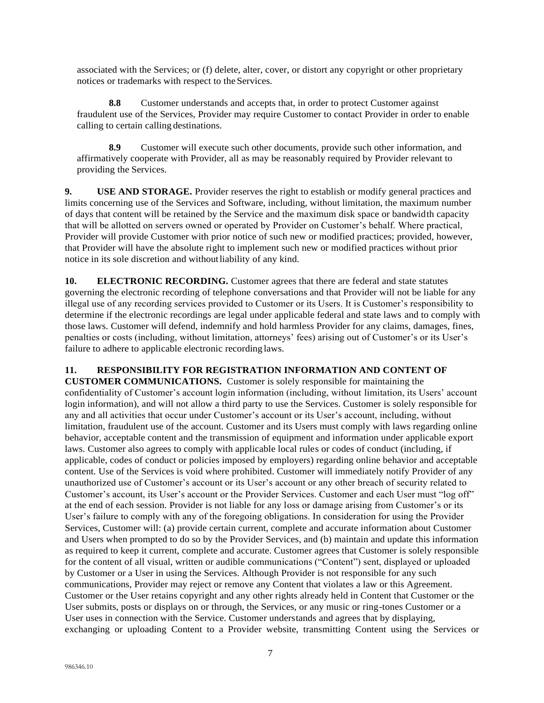associated with the Services; or (f) delete, alter, cover, or distort any copyright or other proprietary notices or trademarks with respect to the Services.

**8.8** Customer understands and accepts that, in order to protect Customer against fraudulent use of the Services, Provider may require Customer to contact Provider in order to enable calling to certain calling destinations.

**8.9** Customer will execute such other documents, provide such other information, and affirmatively cooperate with Provider, all as may be reasonably required by Provider relevant to providing the Services.

**9. USE AND STORAGE.** Provider reserves the right to establish or modify general practices and limits concerning use of the Services and Software, including, without limitation, the maximum number of days that content will be retained by the Service and the maximum disk space or bandwidth capacity that will be allotted on servers owned or operated by Provider on Customer's behalf. Where practical, Provider will provide Customer with prior notice of such new or modified practices; provided, however, that Provider will have the absolute right to implement such new or modified practices without prior notice in its sole discretion and withoutliability of any kind.

**10. ELECTRONIC RECORDING.** Customer agrees that there are federal and state statutes governing the electronic recording of telephone conversations and that Provider will not be liable for any illegal use of any recording services provided to Customer or its Users. It is Customer's responsibility to determine if the electronic recordings are legal under applicable federal and state laws and to comply with those laws. Customer will defend, indemnify and hold harmless Provider for any claims, damages, fines, penalties or costs (including, without limitation, attorneys' fees) arising out of Customer's or its User's failure to adhere to applicable electronic recording laws.

### **11. RESPONSIBILITY FOR REGISTRATION INFORMATION AND CONTENT OF**

**CUSTOMER COMMUNICATIONS.** Customer is solely responsible for maintaining the confidentiality of Customer's account login information (including, without limitation, its Users' account login information), and will not allow a third party to use the Services. Customer is solely responsible for any and all activities that occur under Customer's account or its User's account, including, without limitation, fraudulent use of the account. Customer and its Users must comply with laws regarding online behavior, acceptable content and the transmission of equipment and information under applicable export laws. Customer also agrees to comply with applicable local rules or codes of conduct (including, if applicable, codes of conduct or policies imposed by employers) regarding online behavior and acceptable content. Use of the Services is void where prohibited. Customer will immediately notify Provider of any unauthorized use of Customer's account or its User's account or any other breach of security related to Customer's account, its User's account or the Provider Services. Customer and each User must "log off" at the end of each session. Provider is not liable for any loss or damage arising from Customer's or its User's failure to comply with any of the foregoing obligations. In consideration for using the Provider Services, Customer will: (a) provide certain current, complete and accurate information about Customer and Users when prompted to do so by the Provider Services, and (b) maintain and update this information as required to keep it current, complete and accurate. Customer agrees that Customer is solely responsible for the content of all visual, written or audible communications ("Content") sent, displayed or uploaded by Customer or a User in using the Services. Although Provider is not responsible for any such communications, Provider may reject or remove any Content that violates a law or this Agreement. Customer or the User retains copyright and any other rights already held in Content that Customer or the User submits, posts or displays on or through, the Services, or any music or ring-tones Customer or a User uses in connection with the Service. Customer understands and agrees that by displaying, exchanging or uploading Content to a Provider website, transmitting Content using the Services or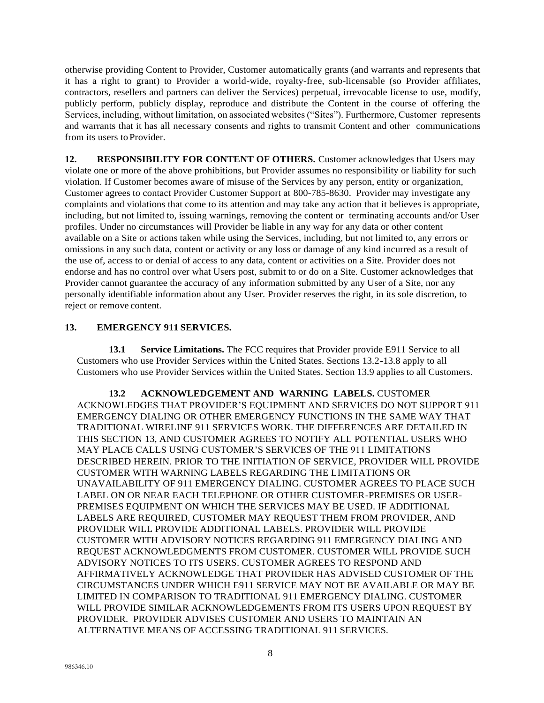otherwise providing Content to Provider, Customer automatically grants (and warrants and represents that it has a right to grant) to Provider a world-wide, royalty-free, sub-licensable (so Provider affiliates, contractors, resellers and partners can deliver the Services) perpetual, irrevocable license to use, modify, publicly perform, publicly display, reproduce and distribute the Content in the course of offering the Services, including, without limitation, on associated websites ("Sites"). Furthermore, Customer represents and warrants that it has all necessary consents and rights to transmit Content and other communications from its users to Provider.

**12. RESPONSIBILITY FOR CONTENT OF OTHERS.** Customer acknowledges that Users may violate one or more of the above prohibitions, but Provider assumes no responsibility or liability for such violation. If Customer becomes aware of misuse of the Services by any person, entity or organization, Customer agrees to contact Provider Customer Support at 800-785-8630. Provider may investigate any complaints and violations that come to its attention and may take any action that it believes is appropriate, including, but not limited to, issuing warnings, removing the content or terminating accounts and/or User profiles. Under no circumstances will Provider be liable in any way for any data or other content available on a Site or actions taken while using the Services, including, but not limited to, any errors or omissions in any such data, content or activity or any loss or damage of any kind incurred as a result of the use of, access to or denial of access to any data, content or activities on a Site. Provider does not endorse and has no control over what Users post, submit to or do on a Site. Customer acknowledges that Provider cannot guarantee the accuracy of any information submitted by any User of a Site, nor any personally identifiable information about any User. Provider reserves the right, in its sole discretion, to reject or remove content.

## **13. EMERGENCY 911 SERVICES.**

**13.1 Service Limitations.** The FCC requires that Provider provide E911 Service to all Customers who use Provider Services within the United States. Sections 13.2-13.8 apply to all Customers who use Provider Services within the United States. Section 13.9 applies to all Customers.

**13.2 ACKNOWLEDGEMENT AND WARNING LABELS.** CUSTOMER ACKNOWLEDGES THAT PROVIDER'S EQUIPMENT AND SERVICES DO NOT SUPPORT 911 EMERGENCY DIALING OR OTHER EMERGENCY FUNCTIONS IN THE SAME WAY THAT TRADITIONAL WIRELINE 911 SERVICES WORK. THE DIFFERENCES ARE DETAILED IN THIS SECTION 13, AND CUSTOMER AGREES TO NOTIFY ALL POTENTIAL USERS WHO MAY PLACE CALLS USING CUSTOMER'S SERVICES OF THE 911 LIMITATIONS DESCRIBED HEREIN. PRIOR TO THE INITIATION OF SERVICE, PROVIDER WILL PROVIDE CUSTOMER WITH WARNING LABELS REGARDING THE LIMITATIONS OR UNAVAILABILITY OF 911 EMERGENCY DIALING. CUSTOMER AGREES TO PLACE SUCH LABEL ON OR NEAR EACH TELEPHONE OR OTHER CUSTOMER-PREMISES OR USER-PREMISES EQUIPMENT ON WHICH THE SERVICES MAY BE USED. IF ADDITIONAL LABELS ARE REQUIRED, CUSTOMER MAY REQUEST THEM FROM PROVIDER, AND PROVIDER WILL PROVIDE ADDITIONAL LABELS. PROVIDER WILL PROVIDE CUSTOMER WITH ADVISORY NOTICES REGARDING 911 EMERGENCY DIALING AND REQUEST ACKNOWLEDGMENTS FROM CUSTOMER. CUSTOMER WILL PROVIDE SUCH ADVISORY NOTICES TO ITS USERS. CUSTOMER AGREES TO RESPOND AND AFFIRMATIVELY ACKNOWLEDGE THAT PROVIDER HAS ADVISED CUSTOMER OF THE CIRCUMSTANCES UNDER WHICH E911 SERVICE MAY NOT BE AVAILABLE OR MAY BE LIMITED IN COMPARISON TO TRADITIONAL 911 EMERGENCY DIALING. CUSTOMER WILL PROVIDE SIMILAR ACKNOWLEDGEMENTS FROM ITS USERS UPON REQUEST BY PROVIDER. PROVIDER ADVISES CUSTOMER AND USERS TO MAINTAIN AN ALTERNATIVE MEANS OF ACCESSING TRADITIONAL 911 SERVICES.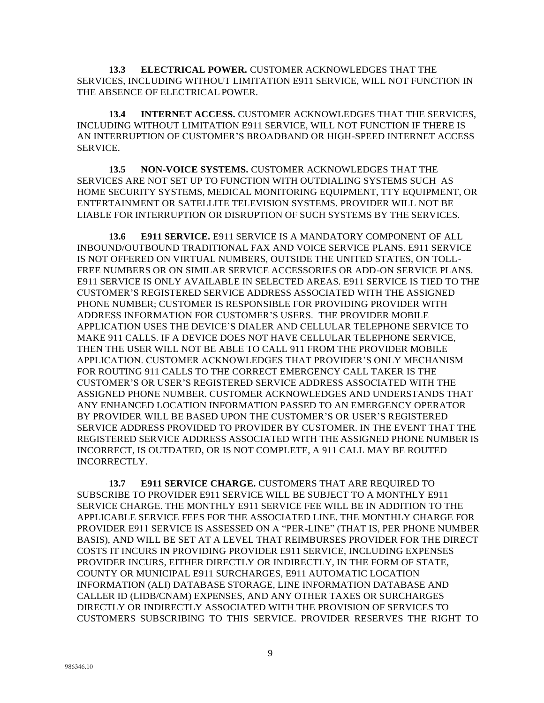**13.3 ELECTRICAL POWER.** CUSTOMER ACKNOWLEDGES THAT THE SERVICES, INCLUDING WITHOUT LIMITATION E911 SERVICE, WILL NOT FUNCTION IN THE ABSENCE OF ELECTRICAL POWER.

**13.4 INTERNET ACCESS.** CUSTOMER ACKNOWLEDGES THAT THE SERVICES, INCLUDING WITHOUT LIMITATION E911 SERVICE, WILL NOT FUNCTION IF THERE IS AN INTERRUPTION OF CUSTOMER'S BROADBAND OR HIGH-SPEED INTERNET ACCESS SERVICE.

**13.5 NON-VOICE SYSTEMS.** CUSTOMER ACKNOWLEDGES THAT THE SERVICES ARE NOT SET UP TO FUNCTION WITH OUTDIALING SYSTEMS SUCH AS HOME SECURITY SYSTEMS, MEDICAL MONITORING EQUIPMENT, TTY EQUIPMENT, OR ENTERTAINMENT OR SATELLITE TELEVISION SYSTEMS. PROVIDER WILL NOT BE LIABLE FOR INTERRUPTION OR DISRUPTION OF SUCH SYSTEMS BY THE SERVICES.

**13.6 E911 SERVICE.** E911 SERVICE IS A MANDATORY COMPONENT OF ALL INBOUND/OUTBOUND TRADITIONAL FAX AND VOICE SERVICE PLANS. E911 SERVICE IS NOT OFFERED ON VIRTUAL NUMBERS, OUTSIDE THE UNITED STATES, ON TOLL-FREE NUMBERS OR ON SIMILAR SERVICE ACCESSORIES OR ADD-ON SERVICE PLANS. E911 SERVICE IS ONLY AVAILABLE IN SELECTED AREAS. E911 SERVICE IS TIED TO THE CUSTOMER'S REGISTERED SERVICE ADDRESS ASSOCIATED WITH THE ASSIGNED PHONE NUMBER; CUSTOMER IS RESPONSIBLE FOR PROVIDING PROVIDER WITH ADDRESS INFORMATION FOR CUSTOMER'S USERS. THE PROVIDER MOBILE APPLICATION USES THE DEVICE'S DIALER AND CELLULAR TELEPHONE SERVICE TO MAKE 911 CALLS. IF A DEVICE DOES NOT HAVE CELLULAR TELEPHONE SERVICE, THEN THE USER WILL NOT BE ABLE TO CALL 911 FROM THE PROVIDER MOBILE APPLICATION. CUSTOMER ACKNOWLEDGES THAT PROVIDER'S ONLY MECHANISM FOR ROUTING 911 CALLS TO THE CORRECT EMERGENCY CALL TAKER IS THE CUSTOMER'S OR USER'S REGISTERED SERVICE ADDRESS ASSOCIATED WITH THE ASSIGNED PHONE NUMBER. CUSTOMER ACKNOWLEDGES AND UNDERSTANDS THAT ANY ENHANCED LOCATION INFORMATION PASSED TO AN EMERGENCY OPERATOR BY PROVIDER WILL BE BASED UPON THE CUSTOMER'S OR USER'S REGISTERED SERVICE ADDRESS PROVIDED TO PROVIDER BY CUSTOMER. IN THE EVENT THAT THE REGISTERED SERVICE ADDRESS ASSOCIATED WITH THE ASSIGNED PHONE NUMBER IS INCORRECT, IS OUTDATED, OR IS NOT COMPLETE, A 911 CALL MAY BE ROUTED INCORRECTLY.

**13.7 E911 SERVICE CHARGE.** CUSTOMERS THAT ARE REQUIRED TO SUBSCRIBE TO PROVIDER E911 SERVICE WILL BE SUBJECT TO A MONTHLY E911 SERVICE CHARGE. THE MONTHLY E911 SERVICE FEE WILL BE IN ADDITION TO THE APPLICABLE SERVICE FEES FOR THE ASSOCIATED LINE. THE MONTHLY CHARGE FOR PROVIDER E911 SERVICE IS ASSESSED ON A "PER-LINE" (THAT IS, PER PHONE NUMBER BASIS), AND WILL BE SET AT A LEVEL THAT REIMBURSES PROVIDER FOR THE DIRECT COSTS IT INCURS IN PROVIDING PROVIDER E911 SERVICE, INCLUDING EXPENSES PROVIDER INCURS, EITHER DIRECTLY OR INDIRECTLY, IN THE FORM OF STATE, COUNTY OR MUNICIPAL E911 SURCHARGES, E911 AUTOMATIC LOCATION INFORMATION (ALI) DATABASE STORAGE, LINE INFORMATION DATABASE AND CALLER ID (LIDB/CNAM) EXPENSES, AND ANY OTHER TAXES OR SURCHARGES DIRECTLY OR INDIRECTLY ASSOCIATED WITH THE PROVISION OF SERVICES TO CUSTOMERS SUBSCRIBING TO THIS SERVICE. PROVIDER RESERVES THE RIGHT TO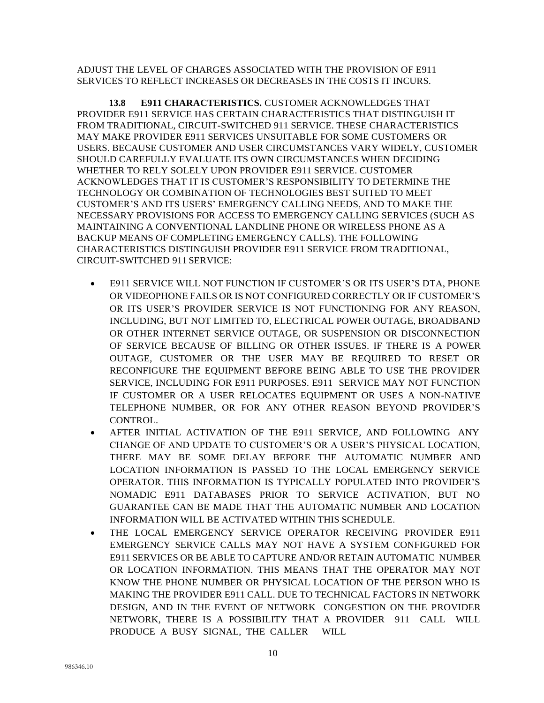ADJUST THE LEVEL OF CHARGES ASSOCIATED WITH THE PROVISION OF E911 SERVICES TO REFLECT INCREASES OR DECREASES IN THE COSTS IT INCURS.

**13.8 E911 CHARACTERISTICS.** CUSTOMER ACKNOWLEDGES THAT PROVIDER E911 SERVICE HAS CERTAIN CHARACTERISTICS THAT DISTINGUISH IT FROM TRADITIONAL, CIRCUIT-SWITCHED 911 SERVICE. THESE CHARACTERISTICS MAY MAKE PROVIDER E911 SERVICES UNSUITABLE FOR SOME CUSTOMERS OR USERS. BECAUSE CUSTOMER AND USER CIRCUMSTANCES VARY WIDELY, CUSTOMER SHOULD CAREFULLY EVALUATE ITS OWN CIRCUMSTANCES WHEN DECIDING WHETHER TO RELY SOLELY UPON PROVIDER E911 SERVICE. CUSTOMER ACKNOWLEDGES THAT IT IS CUSTOMER'S RESPONSIBILITY TO DETERMINE THE TECHNOLOGY OR COMBINATION OF TECHNOLOGIES BEST SUITED TO MEET CUSTOMER'S AND ITS USERS' EMERGENCY CALLING NEEDS, AND TO MAKE THE NECESSARY PROVISIONS FOR ACCESS TO EMERGENCY CALLING SERVICES (SUCH AS MAINTAINING A CONVENTIONAL LANDLINE PHONE OR WIRELESS PHONE AS A BACKUP MEANS OF COMPLETING EMERGENCY CALLS). THE FOLLOWING CHARACTERISTICS DISTINGUISH PROVIDER E911 SERVICE FROM TRADITIONAL, CIRCUIT-SWITCHED 911 SERVICE:

- E911 SERVICE WILL NOT FUNCTION IF CUSTOMER'S OR ITS USER'S DTA, PHONE OR VIDEOPHONE FAILS OR IS NOT CONFIGURED CORRECTLY OR IF CUSTOMER'S OR ITS USER'S PROVIDER SERVICE IS NOT FUNCTIONING FOR ANY REASON, INCLUDING, BUT NOT LIMITED TO, ELECTRICAL POWER OUTAGE, BROADBAND OR OTHER INTERNET SERVICE OUTAGE, OR SUSPENSION OR DISCONNECTION OF SERVICE BECAUSE OF BILLING OR OTHER ISSUES. IF THERE IS A POWER OUTAGE, CUSTOMER OR THE USER MAY BE REQUIRED TO RESET OR RECONFIGURE THE EQUIPMENT BEFORE BEING ABLE TO USE THE PROVIDER SERVICE, INCLUDING FOR E911 PURPOSES. E911 SERVICE MAY NOT FUNCTION IF CUSTOMER OR A USER RELOCATES EQUIPMENT OR USES A NON-NATIVE TELEPHONE NUMBER, OR FOR ANY OTHER REASON BEYOND PROVIDER'S CONTROL.
- AFTER INITIAL ACTIVATION OF THE E911 SERVICE, AND FOLLOWING ANY CHANGE OF AND UPDATE TO CUSTOMER'S OR A USER'S PHYSICAL LOCATION, THERE MAY BE SOME DELAY BEFORE THE AUTOMATIC NUMBER AND LOCATION INFORMATION IS PASSED TO THE LOCAL EMERGENCY SERVICE OPERATOR. THIS INFORMATION IS TYPICALLY POPULATED INTO PROVIDER'S NOMADIC E911 DATABASES PRIOR TO SERVICE ACTIVATION, BUT NO GUARANTEE CAN BE MADE THAT THE AUTOMATIC NUMBER AND LOCATION INFORMATION WILL BE ACTIVATED WITHIN THIS SCHEDULE.
- THE LOCAL EMERGENCY SERVICE OPERATOR RECEIVING PROVIDER E911 EMERGENCY SERVICE CALLS MAY NOT HAVE A SYSTEM CONFIGURED FOR E911 SERVICES OR BE ABLE TO CAPTURE AND/OR RETAIN AUTOMATIC NUMBER OR LOCATION INFORMATION. THIS MEANS THAT THE OPERATOR MAY NOT KNOW THE PHONE NUMBER OR PHYSICAL LOCATION OF THE PERSON WHO IS MAKING THE PROVIDER E911 CALL. DUE TO TECHNICAL FACTORS IN NETWORK DESIGN, AND IN THE EVENT OF NETWORK CONGESTION ON THE PROVIDER NETWORK, THERE IS A POSSIBILITY THAT A PROVIDER 911 CALL WILL PRODUCE A BUSY SIGNAL, THE CALLER WILL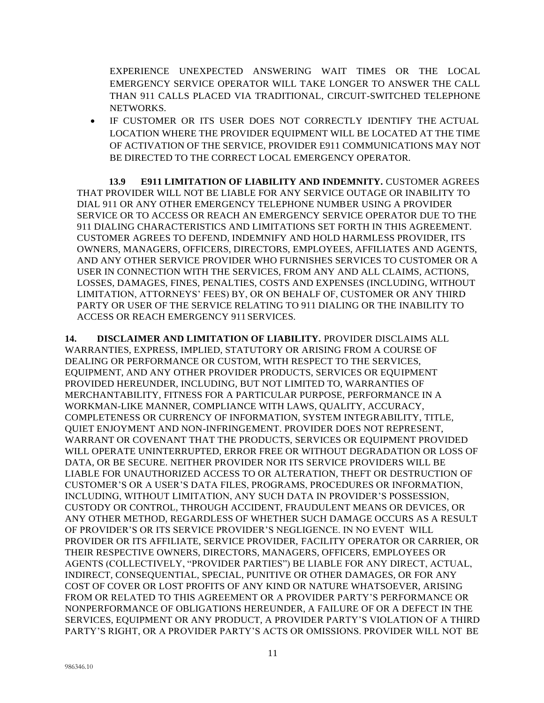EXPERIENCE UNEXPECTED ANSWERING WAIT TIMES OR THE LOCAL EMERGENCY SERVICE OPERATOR WILL TAKE LONGER TO ANSWER THE CALL THAN 911 CALLS PLACED VIA TRADITIONAL, CIRCUIT-SWITCHED TELEPHONE NETWORKS.

• IF CUSTOMER OR ITS USER DOES NOT CORRECTLY IDENTIFY THE ACTUAL LOCATION WHERE THE PROVIDER EQUIPMENT WILL BE LOCATED AT THE TIME OF ACTIVATION OF THE SERVICE, PROVIDER E911 COMMUNICATIONS MAY NOT BE DIRECTED TO THE CORRECT LOCAL EMERGENCY OPERATOR.

**13.9 E911 LIMITATION OF LIABILITY AND INDEMNITY.** CUSTOMER AGREES THAT PROVIDER WILL NOT BE LIABLE FOR ANY SERVICE OUTAGE OR INABILITY TO DIAL 911 OR ANY OTHER EMERGENCY TELEPHONE NUMBER USING A PROVIDER SERVICE OR TO ACCESS OR REACH AN EMERGENCY SERVICE OPERATOR DUE TO THE 911 DIALING CHARACTERISTICS AND LIMITATIONS SET FORTH IN THIS AGREEMENT. CUSTOMER AGREES TO DEFEND, INDEMNIFY AND HOLD HARMLESS PROVIDER, ITS OWNERS, MANAGERS, OFFICERS, DIRECTORS, EMPLOYEES, AFFILIATES AND AGENTS, AND ANY OTHER SERVICE PROVIDER WHO FURNISHES SERVICES TO CUSTOMER OR A USER IN CONNECTION WITH THE SERVICES, FROM ANY AND ALL CLAIMS, ACTIONS, LOSSES, DAMAGES, FINES, PENALTIES, COSTS AND EXPENSES (INCLUDING, WITHOUT LIMITATION, ATTORNEYS' FEES) BY, OR ON BEHALF OF, CUSTOMER OR ANY THIRD PARTY OR USER OF THE SERVICE RELATING TO 911 DIALING OR THE INABILITY TO ACCESS OR REACH EMERGENCY 911 SERVICES.

**14. DISCLAIMER AND LIMITATION OF LIABILITY.** PROVIDER DISCLAIMS ALL WARRANTIES, EXPRESS, IMPLIED, STATUTORY OR ARISING FROM A COURSE OF DEALING OR PERFORMANCE OR CUSTOM, WITH RESPECT TO THE SERVICES, EQUIPMENT, AND ANY OTHER PROVIDER PRODUCTS, SERVICES OR EQUIPMENT PROVIDED HEREUNDER, INCLUDING, BUT NOT LIMITED TO, WARRANTIES OF MERCHANTABILITY, FITNESS FOR A PARTICULAR PURPOSE, PERFORMANCE IN A WORKMAN-LIKE MANNER, COMPLIANCE WITH LAWS, QUALITY, ACCURACY, COMPLETENESS OR CURRENCY OF INFORMATION, SYSTEM INTEGRABILITY, TITLE, QUIET ENJOYMENT AND NON-INFRINGEMENT. PROVIDER DOES NOT REPRESENT, WARRANT OR COVENANT THAT THE PRODUCTS, SERVICES OR EQUIPMENT PROVIDED WILL OPERATE UNINTERRUPTED, ERROR FREE OR WITHOUT DEGRADATION OR LOSS OF DATA, OR BE SECURE. NEITHER PROVIDER NOR ITS SERVICE PROVIDERS WILL BE LIABLE FOR UNAUTHORIZED ACCESS TO OR ALTERATION, THEFT OR DESTRUCTION OF CUSTOMER'S OR A USER'S DATA FILES, PROGRAMS, PROCEDURES OR INFORMATION, INCLUDING, WITHOUT LIMITATION, ANY SUCH DATA IN PROVIDER'S POSSESSION, CUSTODY OR CONTROL, THROUGH ACCIDENT, FRAUDULENT MEANS OR DEVICES, OR ANY OTHER METHOD, REGARDLESS OF WHETHER SUCH DAMAGE OCCURS AS A RESULT OF PROVIDER'S OR ITS SERVICE PROVIDER'S NEGLIGENCE. IN NO EVENT WILL PROVIDER OR ITS AFFILIATE, SERVICE PROVIDER, FACILITY OPERATOR OR CARRIER, OR THEIR RESPECTIVE OWNERS, DIRECTORS, MANAGERS, OFFICERS, EMPLOYEES OR AGENTS (COLLECTIVELY, "PROVIDER PARTIES") BE LIABLE FOR ANY DIRECT, ACTUAL, INDIRECT, CONSEQUENTIAL, SPECIAL, PUNITIVE OR OTHER DAMAGES, OR FOR ANY COST OF COVER OR LOST PROFITS OF ANY KIND OR NATURE WHATSOEVER, ARISING FROM OR RELATED TO THIS AGREEMENT OR A PROVIDER PARTY'S PERFORMANCE OR NONPERFORMANCE OF OBLIGATIONS HEREUNDER, A FAILURE OF OR A DEFECT IN THE SERVICES, EQUIPMENT OR ANY PRODUCT, A PROVIDER PARTY'S VIOLATION OF A THIRD PARTY'S RIGHT, OR A PROVIDER PARTY'S ACTS OR OMISSIONS. PROVIDER WILL NOT BE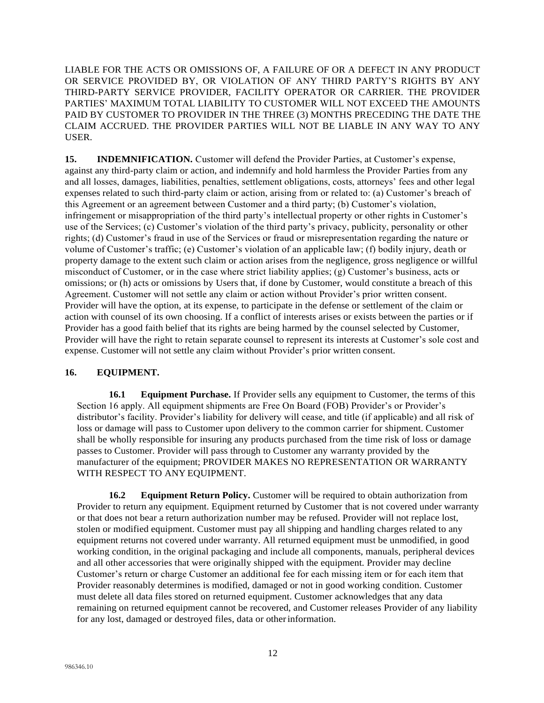LIABLE FOR THE ACTS OR OMISSIONS OF, A FAILURE OF OR A DEFECT IN ANY PRODUCT OR SERVICE PROVIDED BY, OR VIOLATION OF ANY THIRD PARTY'S RIGHTS BY ANY THIRD-PARTY SERVICE PROVIDER, FACILITY OPERATOR OR CARRIER. THE PROVIDER PARTIES' MAXIMUM TOTAL LIABILITY TO CUSTOMER WILL NOT EXCEED THE AMOUNTS PAID BY CUSTOMER TO PROVIDER IN THE THREE (3) MONTHS PRECEDING THE DATE THE CLAIM ACCRUED. THE PROVIDER PARTIES WILL NOT BE LIABLE IN ANY WAY TO ANY USER.

**15. INDEMNIFICATION.** Customer will defend the Provider Parties, at Customer's expense, against any third-party claim or action, and indemnify and hold harmless the Provider Parties from any and all losses, damages, liabilities, penalties, settlement obligations, costs, attorneys' fees and other legal expenses related to such third-party claim or action, arising from or related to: (a) Customer's breach of this Agreement or an agreement between Customer and a third party; (b) Customer's violation, infringement or misappropriation of the third party's intellectual property or other rights in Customer's use of the Services; (c) Customer's violation of the third party's privacy, publicity, personality or other rights; (d) Customer's fraud in use of the Services or fraud or misrepresentation regarding the nature or volume of Customer's traffic; (e) Customer's violation of an applicable law; (f) bodily injury, death or property damage to the extent such claim or action arises from the negligence, gross negligence or willful misconduct of Customer, or in the case where strict liability applies; (g) Customer's business, acts or omissions; or (h) acts or omissions by Users that, if done by Customer, would constitute a breach of this Agreement. Customer will not settle any claim or action without Provider's prior written consent. Provider will have the option, at its expense, to participate in the defense or settlement of the claim or action with counsel of its own choosing. If a conflict of interests arises or exists between the parties or if Provider has a good faith belief that its rights are being harmed by the counsel selected by Customer, Provider will have the right to retain separate counsel to represent its interests at Customer's sole cost and expense. Customer will not settle any claim without Provider's prior written consent.

## **16. EQUIPMENT.**

**16.1 Equipment Purchase.** If Provider sells any equipment to Customer, the terms of this Section 16 apply. All equipment shipments are Free On Board (FOB) Provider's or Provider's distributor's facility. Provider's liability for delivery will cease, and title (if applicable) and all risk of loss or damage will pass to Customer upon delivery to the common carrier for shipment. Customer shall be wholly responsible for insuring any products purchased from the time risk of loss or damage passes to Customer. Provider will pass through to Customer any warranty provided by the manufacturer of the equipment; PROVIDER MAKES NO REPRESENTATION OR WARRANTY WITH RESPECT TO ANY EQUIPMENT.

**16.2 Equipment Return Policy.** Customer will be required to obtain authorization from Provider to return any equipment. Equipment returned by Customer that is not covered under warranty or that does not bear a return authorization number may be refused. Provider will not replace lost, stolen or modified equipment. Customer must pay all shipping and handling charges related to any equipment returns not covered under warranty. All returned equipment must be unmodified, in good working condition, in the original packaging and include all components, manuals, peripheral devices and all other accessories that were originally shipped with the equipment. Provider may decline Customer's return or charge Customer an additional fee for each missing item or for each item that Provider reasonably determines is modified, damaged or not in good working condition. Customer must delete all data files stored on returned equipment. Customer acknowledges that any data remaining on returned equipment cannot be recovered, and Customer releases Provider of any liability for any lost, damaged or destroyed files, data or otherinformation.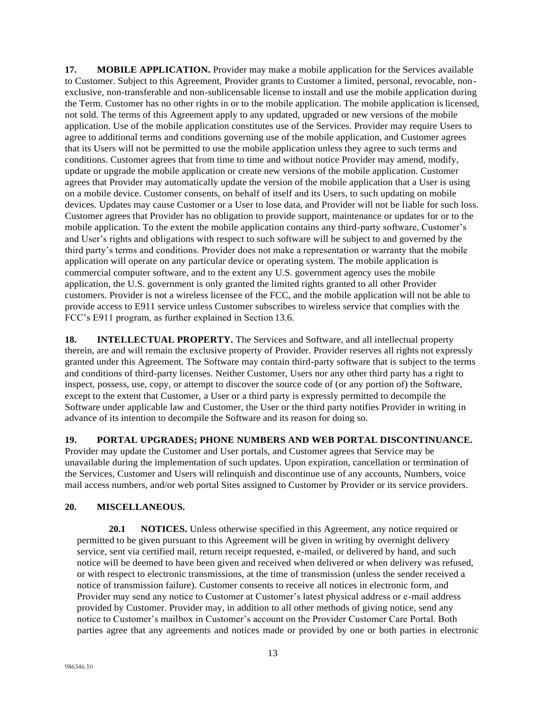**17. MOBILE APPLICATION.** Provider may make a mobile application for the Services available to Customer. Subject to this Agreement, Provider grants to Customer a limited, personal, revocable, nonexclusive, non-transferable and non-sublicensable license to install and use the mobile application during the Term. Customer has no other rights in or to the mobile application. The mobile application islicensed, not sold. The terms of this Agreement apply to any updated, upgraded or new versions of the mobile application. Use of the mobile application constitutes use of the Services. Provider may require Users to agree to additional terms and conditions governing use of the mobile application, and Customer agrees that its Users will not be permitted to use the mobile application unless they agree to such terms and conditions. Customer agrees that from time to time and without notice Provider may amend, modify, update or upgrade the mobile application or create new versions of the mobile application. Customer agrees that Provider may automatically update the version of the mobile application that a User is using on a mobile device. Customer consents, on behalf of itself and its Users, to such updating on mobile devices. Updates may cause Customer or a User to lose data, and Provider will not be liable for such loss. Customer agrees that Provider has no obligation to provide support, maintenance or updates for or to the mobile application. To the extent the mobile application contains any third-party software, Customer's and User's rights and obligations with respect to such software will be subject to and governed by the third party's terms and conditions. Provider does not make a representation or warranty that the mobile application will operate on any particular device or operating system. The mobile application is commercial computer software, and to the extent any U.S. government agency uses the mobile application, the U.S. government is only granted the limited rights granted to all other Provider customers. Provider is not a wireless licensee of the FCC, and the mobile application will not be able to provide access to E911 service unless Customer subscribes to wireless service that complies with the FCC's E911 program, as further explained in Section 13.6.

**18. INTELLECTUAL PROPERTY.** The Services and Software, and all intellectual property therein, are and will remain the exclusive property of Provider. Provider reserves all rights not expressly granted under this Agreement. The Software may contain third-party software that is subject to the terms and conditions of third-party licenses. Neither Customer, Users nor any other third party has a right to inspect, possess, use, copy, or attempt to discover the source code of (or any portion of) the Software, except to the extent that Customer, a User or a third party is expressly permitted to decompile the Software under applicable law and Customer, the User or the third party notifies Provider in writing in advance of its intention to decompile the Software and its reason for doing so.

**19. PORTAL UPGRADES; PHONE NUMBERS AND WEB PORTAL DISCONTINUANCE.** 

Provider may update the Customer and User portals, and Customer agrees that Service may be unavailable during the implementation of such updates. Upon expiration, cancellation or termination of the Services, Customer and Users will relinquish and discontinue use of any accounts, Numbers, voice mail access numbers, and/or web portal Sites assigned to Customer by Provider or its service providers.

# **20. MISCELLANEOUS.**

**20.1 NOTICES.** Unless otherwise specified in this Agreement, any notice required or permitted to be given pursuant to this Agreement will be given in writing by overnight delivery service, sent via certified mail, return receipt requested, e-mailed, or delivered by hand, and such notice will be deemed to have been given and received when delivered or when delivery was refused, or with respect to electronic transmissions, at the time of transmission (unless the sender received a notice of transmission failure). Customer consents to receive all notices in electronic form, and Provider may send any notice to Customer at Customer's latest physical address or e-mail address provided by Customer. Provider may, in addition to all other methods of giving notice, send any notice to Customer's mailbox in Customer's account on the Provider Customer Care Portal. Both parties agree that any agreements and notices made or provided by one or both parties in electronic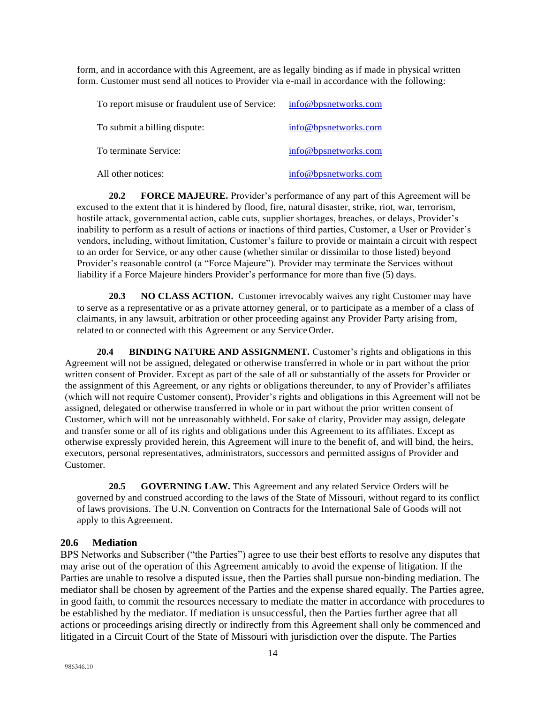form, and in accordance with this Agreement, are as legally binding as if made in physical written form. Customer must send all notices to Provider via e-mail in accordance with the following:

| To report misuse or fraudulent use of Service: | info@bpsnetworks.com |
|------------------------------------------------|----------------------|
| To submit a billing dispute:                   | info@bpsnetworks.com |
| To terminate Service:                          | info@bpsnetworks.com |
| All other notices:                             | info@bpsnetworks.com |

**20.2 FORCE MAJEURE.** Provider's performance of any part of this Agreement will be excused to the extent that it is hindered by flood, fire, natural disaster, strike, riot, war, terrorism, hostile attack, governmental action, cable cuts, supplier shortages, breaches, or delays, Provider's inability to perform as a result of actions or inactions of third parties, Customer, a User or Provider's vendors, including, without limitation, Customer's failure to provide or maintain a circuit with respect to an order for Service, or any other cause (whether similar or dissimilar to those listed) beyond Provider's reasonable control (a "Force Majeure"). Provider may terminate the Services without liability if a Force Majeure hinders Provider's performance for more than five (5) days.

**20.3 NO CLASS ACTION.** Customer irrevocably waives any right Customer may have to serve as a representative or as a private attorney general, or to participate as a member of a class of claimants, in any lawsuit, arbitration or other proceeding against any Provider Party arising from, related to or connected with this Agreement or any ServiceOrder.

**20.4 BINDING NATURE AND ASSIGNMENT.** Customer's rights and obligations in this Agreement will not be assigned, delegated or otherwise transferred in whole or in part without the prior written consent of Provider. Except as part of the sale of all or substantially of the assets for Provider or the assignment of this Agreement, or any rights or obligations thereunder, to any of Provider's affiliates (which will not require Customer consent), Provider's rights and obligations in this Agreement will not be assigned, delegated or otherwise transferred in whole or in part without the prior written consent of Customer, which will not be unreasonably withheld. For sake of clarity, Provider may assign, delegate and transfer some or all of its rights and obligations under this Agreement to its affiliates. Except as otherwise expressly provided herein, this Agreement will inure to the benefit of, and will bind, the heirs, executors, personal representatives, administrators, successors and permitted assigns of Provider and Customer.

**20.5 GOVERNING LAW.** This Agreement and any related Service Orders will be governed by and construed according to the laws of the State of Missouri, without regard to its conflict of laws provisions. The U.N. Convention on Contracts for the International Sale of Goods will not apply to this Agreement.

### **20.6 Mediation**

BPS Networks and Subscriber ("the Parties") agree to use their best efforts to resolve any disputes that may arise out of the operation of this Agreement amicably to avoid the expense of litigation. If the Parties are unable to resolve a disputed issue, then the Parties shall pursue non-binding mediation. The mediator shall be chosen by agreement of the Parties and the expense shared equally. The Parties agree, in good faith, to commit the resources necessary to mediate the matter in accordance with procedures to be established by the mediator. If mediation is unsuccessful, then the Parties further agree that all actions or proceedings arising directly or indirectly from this Agreement shall only be commenced and litigated in a Circuit Court of the State of Missouri with jurisdiction over the dispute. The Parties